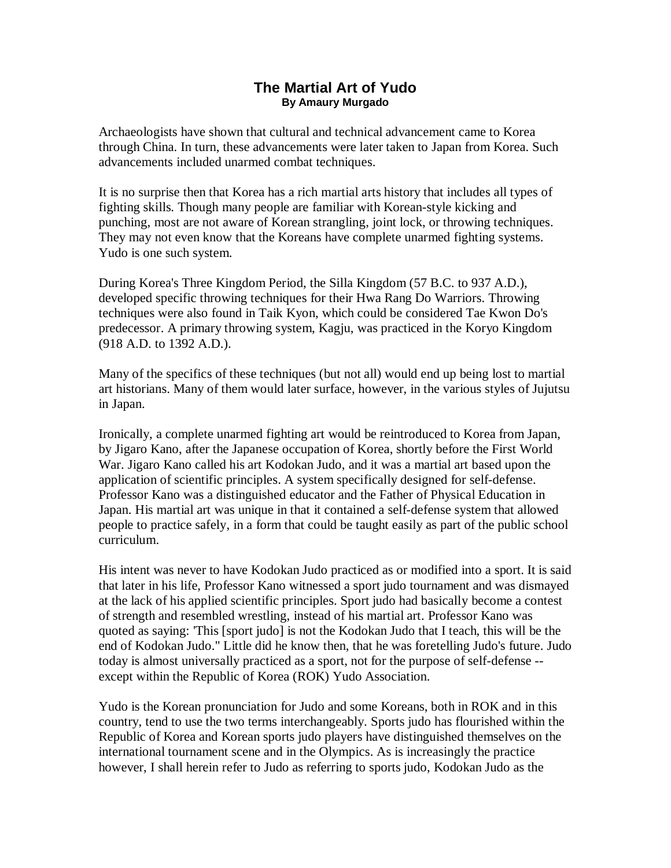## **The Martial Art of Yudo By Amaury Murgado**

Archaeologists have shown that cultural and technical advancement came to Korea through China. In turn, these advancements were later taken to Japan from Korea. Such advancements included unarmed combat techniques.

It is no surprise then that Korea has a rich martial arts history that includes all types of fighting skills. Though many people are familiar with Korean-style kicking and punching, most are not aware of Korean strangling, joint lock, or throwing techniques. They may not even know that the Koreans have complete unarmed fighting systems. Yudo is one such system.

During Korea's Three Kingdom Period, the Silla Kingdom (57 B.C. to 937 A.D.), developed specific throwing techniques for their Hwa Rang Do Warriors. Throwing techniques were also found in Taik Kyon, which could be considered Tae Kwon Do's predecessor. A primary throwing system, Kagju, was practiced in the Koryo Kingdom (918 A.D. to 1392 A.D.).

Many of the specifics of these techniques (but not all) would end up being lost to martial art historians. Many of them would later surface, however, in the various styles of Jujutsu in Japan.

Ironically, a complete unarmed fighting art would be reintroduced to Korea from Japan, by Jigaro Kano, after the Japanese occupation of Korea, shortly before the First World War. Jigaro Kano called his art Kodokan Judo, and it was a martial art based upon the application of scientific principles. A system specifically designed for self-defense. Professor Kano was a distinguished educator and the Father of Physical Education in Japan. His martial art was unique in that it contained a self-defense system that allowed people to practice safely, in a form that could be taught easily as part of the public school curriculum.

His intent was never to have Kodokan Judo practiced as or modified into a sport. It is said that later in his life, Professor Kano witnessed a sport judo tournament and was dismayed at the lack of his applied scientific principles. Sport judo had basically become a contest of strength and resembled wrestling, instead of his martial art. Professor Kano was quoted as saying: 'This [sport judo] is not the Kodokan Judo that I teach, this will be the end of Kodokan Judo." Little did he know then, that he was foretelling Judo's future. Judo today is almost universally practiced as a sport, not for the purpose of self-defense - except within the Republic of Korea (ROK) Yudo Association.

Yudo is the Korean pronunciation for Judo and some Koreans, both in ROK and in this country, tend to use the two terms interchangeably. Sports judo has flourished within the Republic of Korea and Korean sports judo players have distinguished themselves on the international tournament scene and in the Olympics. As is increasingly the practice however, I shall herein refer to Judo as referring to sports judo, Kodokan Judo as the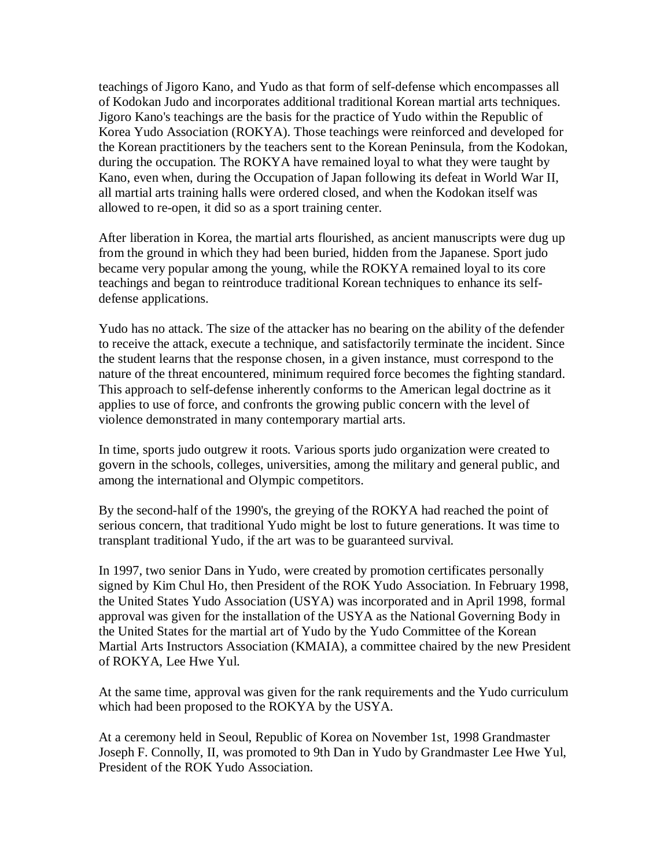teachings of Jigoro Kano, and Yudo as that form of self-defense which encompasses all of Kodokan Judo and incorporates additional traditional Korean martial arts techniques. Jigoro Kano's teachings are the basis for the practice of Yudo within the Republic of Korea Yudo Association (ROKYA). Those teachings were reinforced and developed for the Korean practitioners by the teachers sent to the Korean Peninsula, from the Kodokan, during the occupation. The ROKYA have remained loyal to what they were taught by Kano, even when, during the Occupation of Japan following its defeat in World War II, all martial arts training halls were ordered closed, and when the Kodokan itself was allowed to re-open, it did so as a sport training center.

After liberation in Korea, the martial arts flourished, as ancient manuscripts were dug up from the ground in which they had been buried, hidden from the Japanese. Sport judo became very popular among the young, while the ROKYA remained loyal to its core teachings and began to reintroduce traditional Korean techniques to enhance its selfdefense applications.

Yudo has no attack. The size of the attacker has no bearing on the ability of the defender to receive the attack, execute a technique, and satisfactorily terminate the incident. Since the student learns that the response chosen, in a given instance, must correspond to the nature of the threat encountered, minimum required force becomes the fighting standard. This approach to self-defense inherently conforms to the American legal doctrine as it applies to use of force, and confronts the growing public concern with the level of violence demonstrated in many contemporary martial arts.

In time, sports judo outgrew it roots. Various sports judo organization were created to govern in the schools, colleges, universities, among the military and general public, and among the international and Olympic competitors.

By the second-half of the 1990's, the greying of the ROKYA had reached the point of serious concern, that traditional Yudo might be lost to future generations. It was time to transplant traditional Yudo, if the art was to be guaranteed survival.

In 1997, two senior Dans in Yudo, were created by promotion certificates personally signed by Kim Chul Ho, then President of the ROK Yudo Association. In February 1998, the United States Yudo Association (USYA) was incorporated and in April 1998, formal approval was given for the installation of the USYA as the National Governing Body in the United States for the martial art of Yudo by the Yudo Committee of the Korean Martial Arts Instructors Association (KMAIA), a committee chaired by the new President of ROKYA, Lee Hwe Yul.

At the same time, approval was given for the rank requirements and the Yudo curriculum which had been proposed to the ROKYA by the USYA.

At a ceremony held in Seoul, Republic of Korea on November 1st, 1998 Grandmaster Joseph F. Connolly, II, was promoted to 9th Dan in Yudo by Grandmaster Lee Hwe Yul, President of the ROK Yudo Association.